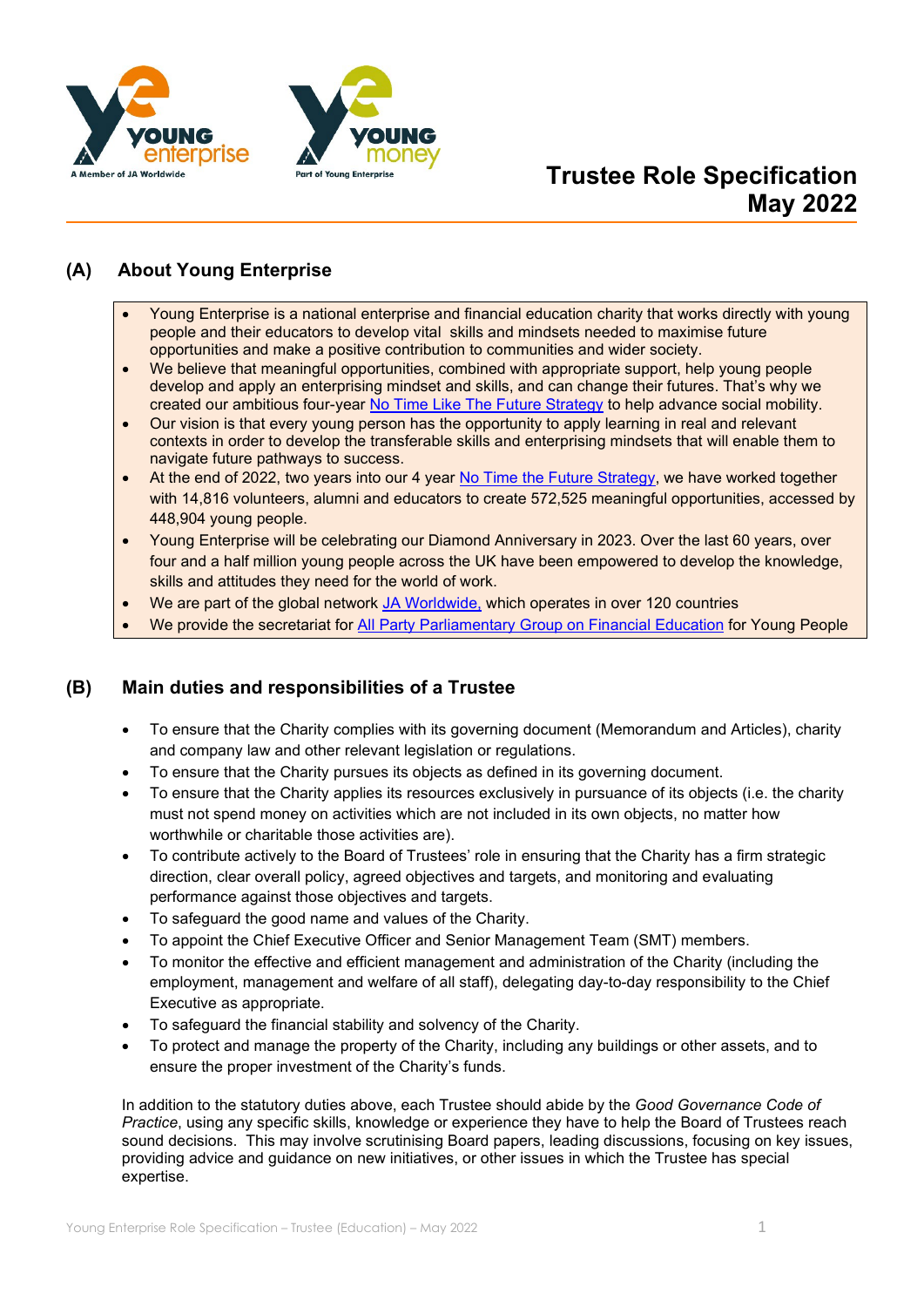



# **Trustee Role Specification May 2022**

# **(A) About Young Enterprise**

- Young Enterprise is a national enterprise and financial education charity that works directly with young people and their educators to develop vital skills and mindsets needed to maximise future opportunities and make a positive contribution to communities and wider society.
- We believe that meaningful opportunities, combined with appropriate support, help young people develop and apply an enterprising mindset and skills, and can change their futures. That's why we created our ambitious four-year [No Time Like The Future Strategy](https://www.young-enterprise.org.uk/ntltfstrategy) to help advance social mobility.
- Our vision is that every young person has the opportunity to apply learning in real and relevant contexts in order to develop the transferable skills and enterprising mindsets that will enable them to navigate future pathways to success.
- At the end of 2022, two years into our 4 year [No Time the Future Strategy,](https://www.young-enterprise.org.uk/ntltfstrategy) we have worked together with 14,816 volunteers, alumni and educators to create 572,525 meaningful opportunities, accessed by 448,904 young people.
- Young Enterprise will be celebrating our Diamond Anniversary in 2023. Over the last 60 years, over four and a half million young people across the UK have been empowered to develop the knowledge, skills and attitudes they need for the world of work.
- We are part of the global network [JA Worldwide,](https://www.jaworldwide.org/) which operates in over 120 countries
- We provide the secretariat for [All Party Parliamentary Group on Financial Education](https://www.young-enterprise.org.uk/home/impact-policy/policy-hub/appg-on-financial-education/) for Young People

# **(B) Main duties and responsibilities of a Trustee**

- To ensure that the Charity complies with its governing document (Memorandum and Articles), charity and company law and other relevant legislation or regulations.
- To ensure that the Charity pursues its objects as defined in its governing document.
- To ensure that the Charity applies its resources exclusively in pursuance of its objects (i.e. the charity must not spend money on activities which are not included in its own objects, no matter how worthwhile or charitable those activities are).
- To contribute actively to the Board of Trustees' role in ensuring that the Charity has a firm strategic direction, clear overall policy, agreed objectives and targets, and monitoring and evaluating performance against those objectives and targets.
- To safeguard the good name and values of the Charity.
- To appoint the Chief Executive Officer and Senior Management Team (SMT) members.
- To monitor the effective and efficient management and administration of the Charity (including the employment, management and welfare of all staff), delegating day-to-day responsibility to the Chief Executive as appropriate.
- To safeguard the financial stability and solvency of the Charity.
- To protect and manage the property of the Charity, including any buildings or other assets, and to ensure the proper investment of the Charity's funds.

In addition to the statutory duties above, each Trustee should abide by the *Good Governance Code of Practice*, using any specific skills, knowledge or experience they have to help the Board of Trustees reach sound decisions. This may involve scrutinising Board papers, leading discussions, focusing on key issues, providing advice and guidance on new initiatives, or other issues in which the Trustee has special expertise.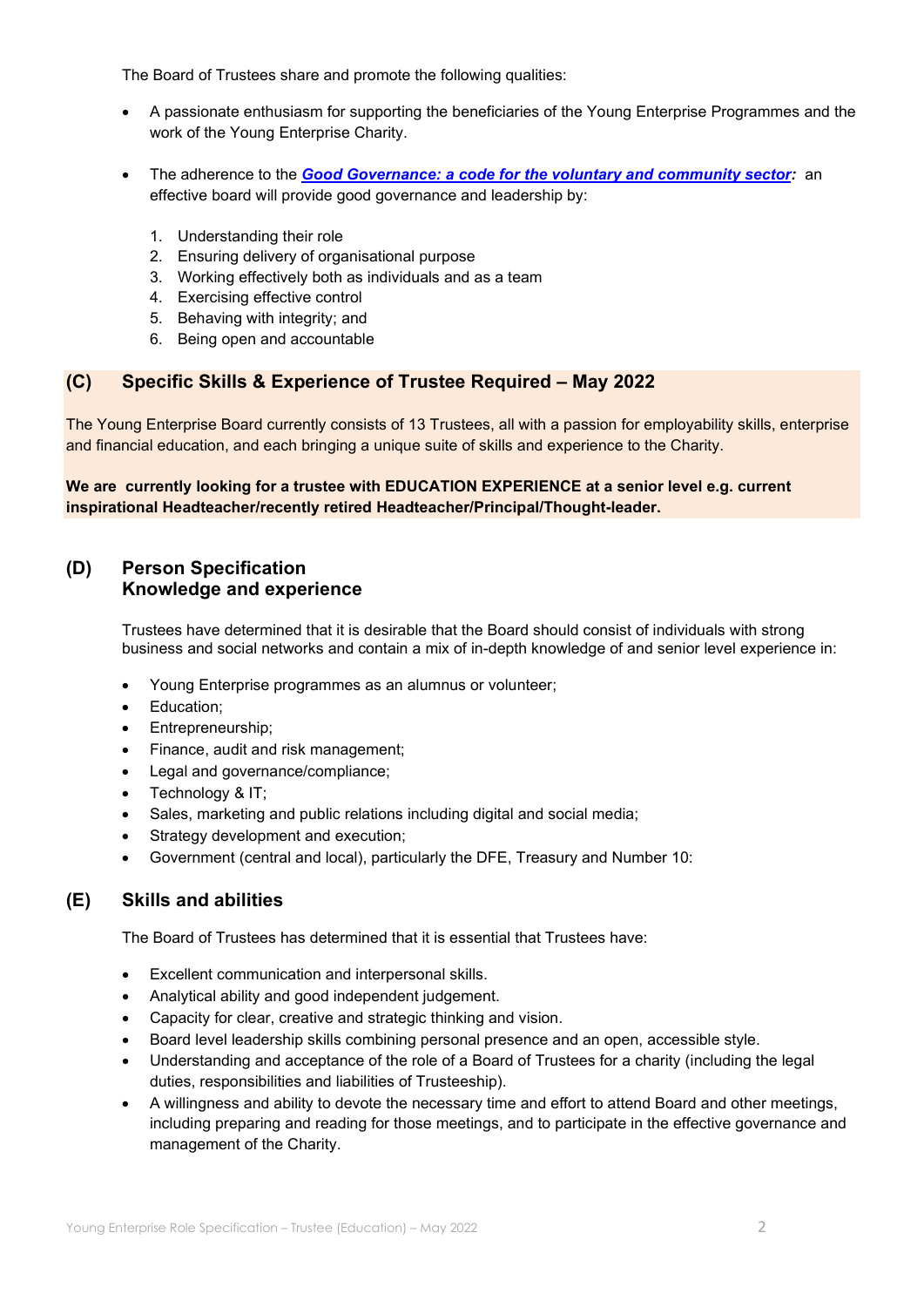The Board of Trustees share and promote the following qualities:

- A passionate enthusiasm for supporting the beneficiaries of the Young Enterprise Programmes and the work of the Young Enterprise Charity.
- The adherence to the *[Good Governance: a code for the voluntary and community sector:](https://www.charitygovernancecode.org/en)* an effective board will provide good governance and leadership by:
	- 1. Understanding their role
	- 2. Ensuring delivery of organisational purpose
	- 3. Working effectively both as individuals and as a team
	- 4. Exercising effective control
	- 5. Behaving with integrity; and
	- 6. Being open and accountable

### **(C) Specific Skills & Experience of Trustee Required – May 2022**

The Young Enterprise Board currently consists of 13 Trustees, all with a passion for employability skills, enterprise and financial education, and each bringing a unique suite of skills and experience to the Charity.

#### **We are currently looking for a trustee with EDUCATION EXPERIENCE at a senior level e.g. current inspirational Headteacher/recently retired Headteacher/Principal/Thought-leader.**

## **(D) Person Specification Knowledge and experience**

Trustees have determined that it is desirable that the Board should consist of individuals with strong business and social networks and contain a mix of in-depth knowledge of and senior level experience in:

- Young Enterprise programmes as an alumnus or volunteer;
- Education;
- Entrepreneurship;
- Finance, audit and risk management;
- Legal and governance/compliance;
- Technology & IT:
- Sales, marketing and public relations including digital and social media;
- Strategy development and execution;
- Government (central and local), particularly the DFE, Treasury and Number 10:

### **(E) Skills and abilities**

The Board of Trustees has determined that it is essential that Trustees have:

- Excellent communication and interpersonal skills.
- Analytical ability and good independent judgement.
- Capacity for clear, creative and strategic thinking and vision.
- Board level leadership skills combining personal presence and an open, accessible style.
- Understanding and acceptance of the role of a Board of Trustees for a charity (including the legal duties, responsibilities and liabilities of Trusteeship).
- A willingness and ability to devote the necessary time and effort to attend Board and other meetings, including preparing and reading for those meetings, and to participate in the effective governance and management of the Charity.